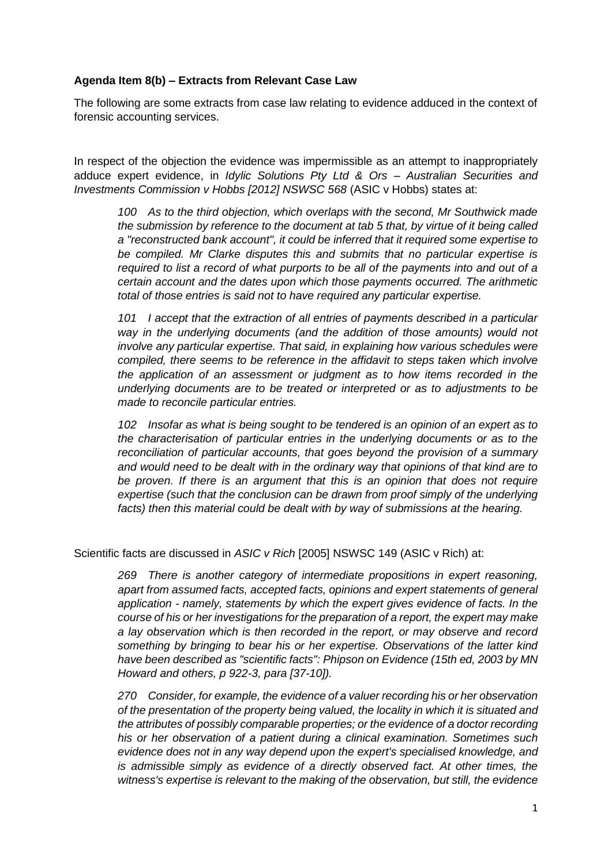## **Agenda Item 8(b) – Extracts from Relevant Case Law**

The following are some extracts from case law relating to evidence adduced in the context of forensic accounting services.

In respect of the objection the evidence was impermissible as an attempt to inappropriately adduce expert evidence, in *Idylic Solutions Pty Ltd & Ors – Australian Securities and Investments Commission v Hobbs [2012] NSWSC 568* (ASIC v Hobbs) states at:

*100 As to the third objection, which overlaps with the second, Mr Southwick made the submission by reference to the document at tab 5 that, by virtue of it being called a "reconstructed bank account", it could be inferred that it required some expertise to be compiled. Mr Clarke disputes this and submits that no particular expertise is required to list a record of what purports to be all of the payments into and out of a certain account and the dates upon which those payments occurred. The arithmetic total of those entries is said not to have required any particular expertise.*

*101 I accept that the extraction of all entries of payments described in a particular way in the underlying documents (and the addition of those amounts) would not involve any particular expertise. That said, in explaining how various schedules were compiled, there seems to be reference in the affidavit to steps taken which involve the application of an assessment or judgment as to how items recorded in the underlying documents are to be treated or interpreted or as to adjustments to be made to reconcile particular entries.*

*102 Insofar as what is being sought to be tendered is an opinion of an expert as to the characterisation of particular entries in the underlying documents or as to the reconciliation of particular accounts, that goes beyond the provision of a summary and would need to be dealt with in the ordinary way that opinions of that kind are to be proven. If there is an argument that this is an opinion that does not require expertise (such that the conclusion can be drawn from proof simply of the underlying facts) then this material could be dealt with by way of submissions at the hearing.*

Scientific facts are discussed in *ASIC v Rich* [2005] NSWSC 149 (ASIC v Rich) at:

*269 There is another category of intermediate propositions in expert reasoning, apart from assumed facts, accepted facts, opinions and expert statements of general application - namely, statements by which the expert gives evidence of facts. In the course of his or her investigations for the preparation of a report, the expert may make a lay observation which is then recorded in the report, or may observe and record something by bringing to bear his or her expertise. Observations of the latter kind have been described as "scientific facts": Phipson on Evidence (15th ed, 2003 by MN Howard and others, p 922-3, para [37-10]).*

*270 Consider, for example, the evidence of a valuer recording his or her observation of the presentation of the property being valued, the locality in which it is situated and the attributes of possibly comparable properties; or the evidence of a doctor recording his or her observation of a patient during a clinical examination. Sometimes such evidence does not in any way depend upon the expert's specialised knowledge, and is admissible simply as evidence of a directly observed fact. At other times, the witness's expertise is relevant to the making of the observation, but still, the evidence*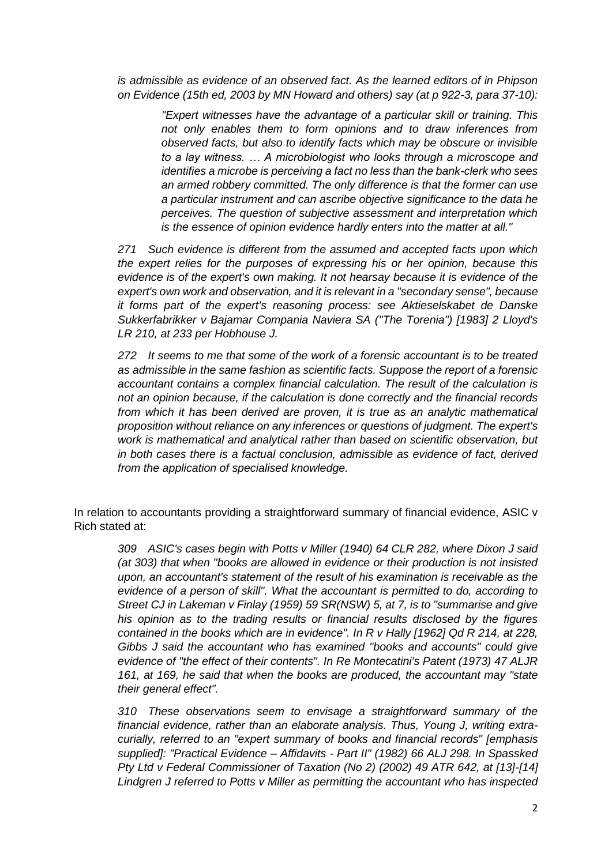*is admissible as evidence of an observed fact. As the learned editors of in Phipson on Evidence (15th ed, 2003 by MN Howard and others) say (at p 922-3, para 37-10):*

> *"Expert witnesses have the advantage of a particular skill or training. This not only enables them to form opinions and to draw inferences from observed facts, but also to identify facts which may be obscure or invisible to a lay witness. … A microbiologist who looks through a microscope and identifies a microbe is perceiving a fact no less than the bank-clerk who sees an armed robbery committed. The only difference is that the former can use a particular instrument and can ascribe objective significance to the data he perceives. The question of subjective assessment and interpretation which is the essence of opinion evidence hardly enters into the matter at all."*

*271 Such evidence is different from the assumed and accepted facts upon which the expert relies for the purposes of expressing his or her opinion, because this evidence is of the expert's own making. It not hearsay because it is evidence of the expert's own work and observation, and it is relevant in a "secondary sense", because it forms part of the expert's reasoning process: see Aktieselskabet de Danske Sukkerfabrikker v Bajamar Compania Naviera SA ("The Torenia") [1983] 2 Lloyd's LR 210, at 233 per Hobhouse J.*

*272 It seems to me that some of the work of a forensic accountant is to be treated as admissible in the same fashion as scientific facts. Suppose the report of a forensic accountant contains a complex financial calculation. The result of the calculation is not an opinion because, if the calculation is done correctly and the financial records from which it has been derived are proven, it is true as an analytic mathematical proposition without reliance on any inferences or questions of judgment. The expert's work is mathematical and analytical rather than based on scientific observation, but in both cases there is a factual conclusion, admissible as evidence of fact, derived from the application of specialised knowledge.*

In relation to accountants providing a straightforward summary of financial evidence, ASIC v Rich stated at:

*309 ASIC's cases begin with Potts v Miller (1940) 64 CLR 282, where Dixon J said (at 303) that when "books are allowed in evidence or their production is not insisted upon, an accountant's statement of the result of his examination is receivable as the evidence of a person of skill". What the accountant is permitted to do, according to Street CJ in Lakeman v Finlay (1959) 59 SR(NSW) 5, at 7, is to "summarise and give his opinion as to the trading results or financial results disclosed by the figures contained in the books which are in evidence". In R v Hally [1962] Qd R 214, at 228, Gibbs J said the accountant who has examined "books and accounts" could give evidence of "the effect of their contents". In Re Montecatini's Patent (1973) 47 ALJR 161, at 169, he said that when the books are produced, the accountant may "state their general effect".*

*310 These observations seem to envisage a straightforward summary of the financial evidence, rather than an elaborate analysis. Thus, Young J, writing extracurially, referred to an "expert summary of books and financial records" [emphasis supplied]: "Practical Evidence – Affidavits - Part II" (1982) 66 ALJ 298. In Spassked Pty Ltd v Federal Commissioner of Taxation (No 2) (2002) 49 ATR 642, at [13]-[14] Lindgren J referred to Potts v Miller as permitting the accountant who has inspected*